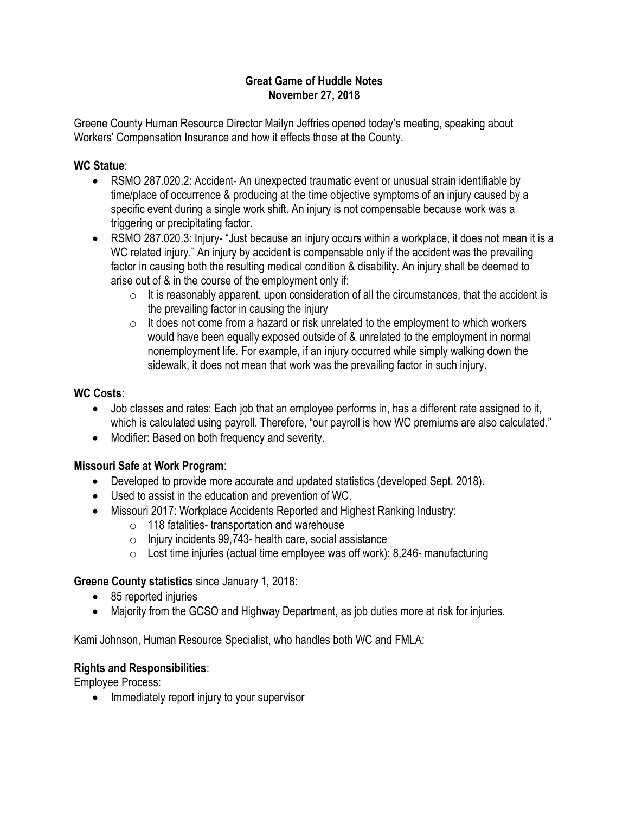#### Great Game of Huddle Notes November 27, 2018

Greene County Human Resource Director Mailyn Jeffries opened today's meeting, speaking about Workers' Compensation Insurance and how it effects those at the County.

### WC Statue:

- RSMO 287.020.2: Accident- An unexpected traumatic event or unusual strain identifiable by time/place of occurrence & producing at the time objective symptoms of an injury caused by a specific event during a single work shift. An injury is not compensable because work was a triggering or precipitating factor.
- RSMO 287.020.3: Injury- "Just because an injury occurs within a workplace, it does not mean it is a WC related injury." An injury by accident is compensable only if the accident was the prevailing factor in causing both the resulting medical condition & disability. An injury shall be deemed to arise out of & in the course of the employment only if:
	- $\circ$  It is reasonably apparent, upon consideration of all the circumstances, that the accident is the prevailing factor in causing the injury
	- $\circ$  It does not come from a hazard or risk unrelated to the employment to which workers would have been equally exposed outside of & unrelated to the employment in normal nonemployment life. For example, if an injury occurred while simply walking down the sidewalk, it does not mean that work was the prevailing factor in such injury.

## WC Costs:

- Job classes and rates: Each job that an employee performs in, has a different rate assigned to it, which is calculated using payroll. Therefore, "our payroll is how WC premiums are also calculated."
- Modifier: Based on both frequency and severity.

# Missouri Safe at Work Program:

- Developed to provide more accurate and updated statistics (developed Sept. 2018).
- Used to assist in the education and prevention of WC.
- Missouri 2017: Workplace Accidents Reported and Highest Ranking Industry:
	- o 118 fatalities- transportation and warehouse
	- $\circ$  Injury incidents 99,743- health care, social assistance
	- $\circ$  Lost time injuries (actual time employee was off work): 8,246- manufacturing

# Greene County statistics since January 1, 2018:

- 85 reported injuries
- Majority from the GCSO and Highway Department, as job duties more at risk for injuries.

Kami Johnson, Human Resource Specialist, who handles both WC and FMLA:

#### Rights and Responsibilities:

Employee Process:

• Immediately report injury to your supervisor